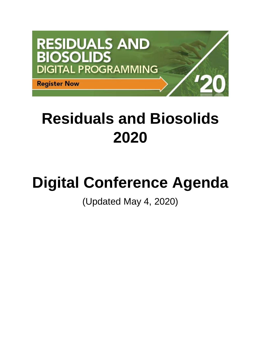

# **Residuals and Biosolids 2020**

# **Digital Conference Agenda**

# (Updated May 4, 2020)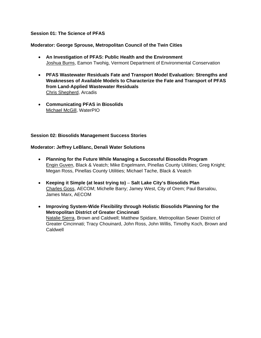# **Session 01: The Science of PFAS**

# **Moderator: George Sprouse, Metropolitan Council of the Twin Cities**

- **An Investigation of PFAS: Public Health and the Environment** Joshua Burns, Eamon Twohig, Vermont Department of Environmental Conservation
- **PFAS Wastewater Residuals Fate and Transport Model Evaluation: Strengths and Weaknesses of Available Models to Characterize the Fate and Transport of PFAS from Land-Applied Wastewater Residuals** Chris Shepherd, Arcadis
- **Communicating PFAS in Biosolids** Michael McGill, WaterPIO

#### **Session 02: Biosolids Management Success Stories**

# **Moderator: Jeffrey LeBlanc, Denali Water Solutions**

- **Planning for the Future While Managing a Successful Biosolids Program** Engin Guven, Black & Veatch; Mike Engelmann, Pinellas County Utilities; Greg Knight; Megan Ross, Pinellas County Utilities; Michael Tache, Black & Veatch
- **Keeping it Simple (at least trying to) Salt Lake City's Biosolids Plan** Charles Goss, AECOM; Michelle Barry; Jamey West, City of Orem; Paul Barsalou, James Marx, AECOM
- **Improving System-Wide Flexibility through Holistic Biosolids Planning for the Metropolitan District of Greater Cincinnati** Natalie Sierra, Brown and Caldwell; Matthew Spidare, Metropolitan Sewer District of Greater Cincinnati; Tracy Chouinard, John Ross, John Willis, Timothy Koch, Brown and Caldwell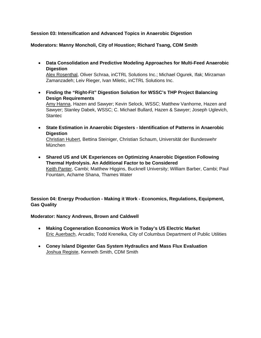# **Session 03: Intensification and Advanced Topics in Anaerobic Digestion**

**Moderators: Manny Moncholi, City of Houstion; Richard Tsang, CDM Smith**

- **Data Consolidation and Predictive Modeling Approaches for Multi-Feed Anaerobic Digestion** Alex Rosenthal, Oliver Schraa, inCTRL Solutions Inc.; Michael Ogurek, Ifak; Mirzaman Zamanzadeh; Leiv Rieger, Ivan Miletic, inCTRL Solutions Inc.
- **Finding the "Right-Fit" Digestion Solution for WSSC's THP Project Balancing Design Requirements** Amy Hanna, Hazen and Sawyer; Kevin Selock, WSSC; Matthew Vanhorne, Hazen and Sawyer; Stanley Dabek, WSSC; C. Michael Bullard, Hazen & Sawyer; Joseph Uglevich, **Stantec**
- **State Estimation in Anaerobic Digesters - Identification of Patterns in Anaerobic Digestion** Christian Hubert, Bettina Steiniger, Christian Schaum, Universität der Bundeswehr München
- **Shared US and UK Experiences on Optimizing Anaerobic Digestion Following Thermal Hydrolysis. An Additional Factor to be Considered** Keith Panter, Cambi; Matthew Higgins, Bucknell University; William Barber, Cambi; Paul Fountain, Achame Shana, Thames Water

**Session 04: Energy Production - Making it Work - Economics, Regulations, Equipment, Gas Quality**

# **Moderator: Nancy Andrews, Brown and Caldwell**

- **Making Cogeneration Economics Work in Today's US Electric Market** Eric Auerbach, Arcadis; Todd Krenelka, City of Columbus Department of Public Utilities
- **Coney Island Digester Gas System Hydraulics and Mass Flux Evaluation** Joshua Registe, Kenneth Smith, CDM Smith